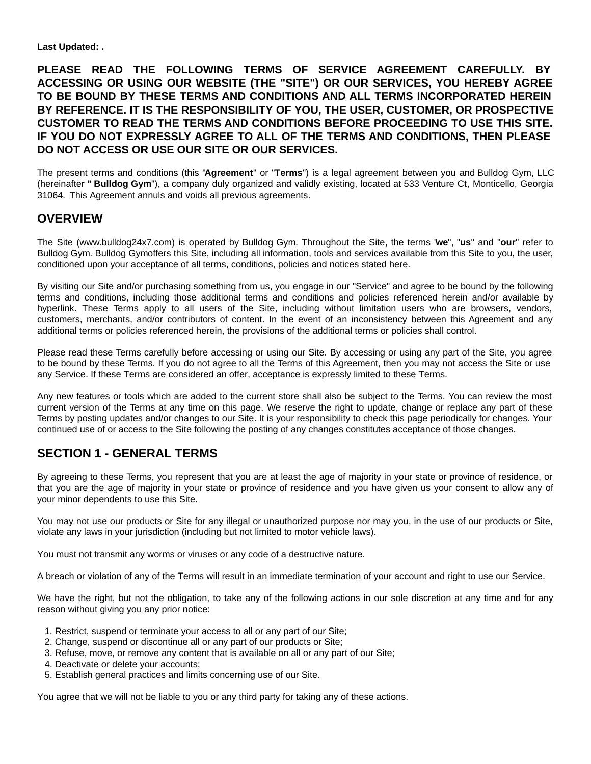**Last Updated: .**

**PLEASE READ THE FOLLOWING TERMS OF SERVICE AGREEMENT CAREFULLY. BY ACCESSING OR USING OUR WEBSITE (THE "SITE") OR OUR SERVICES, YOU HEREBY AGREE TO BE BOUND BY THESE TERMS AND CONDITIONS AND ALL TERMS INCORPORATED HEREIN BY REFERENCE. IT IS THE RESPONSIBILITY OF YOU, THE USER, CUSTOMER, OR PROSPECTIVE CUSTOMER TO READ THE TERMS AND CONDITIONS BEFORE PROCEEDING TO USE THIS SITE. IF YOU DO NOT EXPRESSLY AGREE TO ALL OF THE TERMS AND CONDITIONS, THEN PLEASE DO NOT ACCESS OR USE OUR SITE OR OUR SERVICES.**

The present terms and conditions (this "**Agreement**" or "**Terms**") is a legal agreement between you and Bulldog Gym, LLC (hereinafter **" Bulldog Gym**"), a company duly organized and validly existing, located at 533 Venture Ct, Monticello, Georgia 31064. This Agreement annuls and voids all previous agreements.

#### **OVERVIEW**

The Site (www.bulldog24x7.com) is operated by Bulldog Gym. Throughout the Site, the terms "**we**", "**us**" and "**our**" refer to Bulldog Gym. Bulldog Gymoffers this Site, including all information, tools and services available from this Site to you, the user, conditioned upon your acceptance of all terms, conditions, policies and notices stated here.

By visiting our Site and/or purchasing something from us, you engage in our "Service" and agree to be bound by the following terms and conditions, including those additional terms and conditions and policies referenced herein and/or available by hyperlink. These Terms apply to all users of the Site, including without limitation users who are browsers, vendors, customers, merchants, and/or contributors of content. In the event of an inconsistency between this Agreement and any additional terms or policies referenced herein, the provisions of the additional terms or policies shall control.

Please read these Terms carefully before accessing or using our Site. By accessing or using any part of the Site, you agree to be bound by these Terms. If you do not agree to all the Terms of this Agreement, then you may not access the Site or use any Service. If these Terms are considered an offer, acceptance is expressly limited to these Terms.

Any new features or tools which are added to the current store shall also be subject to the Terms. You can review the most current version of the Terms at any time on this page. We reserve the right to update, change or replace any part of these Terms by posting updates and/or changes to our Site. It is your responsibility to check this page periodically for changes. Your continued use of or access to the Site following the posting of any changes constitutes acceptance of those changes.

## **SECTION 1 - GENERAL TERMS**

By agreeing to these Terms, you represent that you are at least the age of majority in your state or province of residence, or that you are the age of majority in your state or province of residence and you have given us your consent to allow any of your minor dependents to use this Site.

You may not use our products or Site for any illegal or unauthorized purpose nor may you, in the use of our products or Site, violate any laws in your jurisdiction (including but not limited to motor vehicle laws).

You must not transmit any worms or viruses or any code of a destructive nature.

A breach or violation of any of the Terms will result in an immediate termination of your account and right to use our Service.

We have the right, but not the obligation, to take any of the following actions in our sole discretion at any time and for any reason without giving you any prior notice:

- 1. Restrict, suspend or terminate your access to all or any part of our Site;
- 2. Change, suspend or discontinue all or any part of our products or Site;
- 3. Refuse, move, or remove any content that is available on all or any part of our Site;
- 4. Deactivate or delete your accounts;
- 5. Establish general practices and limits concerning use of our Site.

You agree that we will not be liable to you or any third party for taking any of these actions.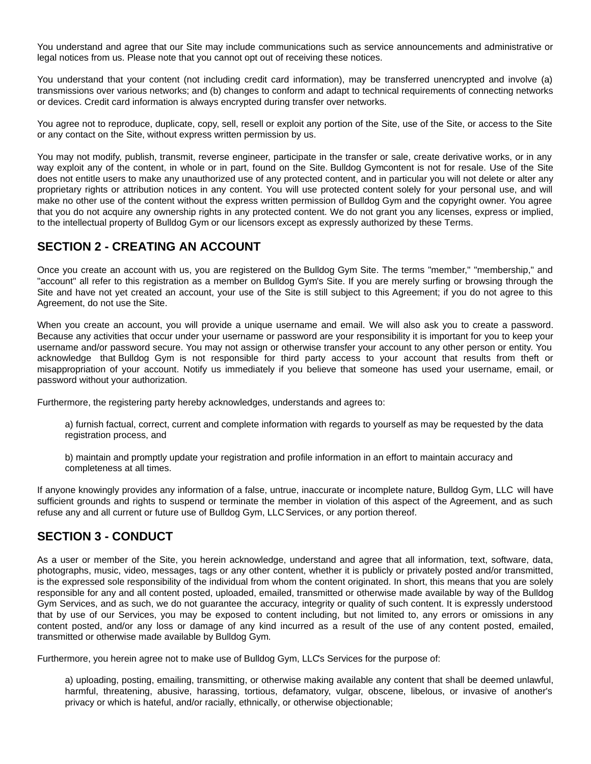You understand and agree that our Site may include communications such as service announcements and administrative or legal notices from us. Please note that you cannot opt out of receiving these notices.

You understand that your content (not including credit card information), may be transferred unencrypted and involve (a) transmissions over various networks; and (b) changes to conform and adapt to technical requirements of connecting networks or devices. Credit card information is always encrypted during transfer over networks.

You agree not to reproduce, duplicate, copy, sell, resell or exploit any portion of the Site, use of the Site, or access to the Site or any contact on the Site, without express written permission by us.

You may not modify, publish, transmit, reverse engineer, participate in the transfer or sale, create derivative works, or in any way exploit any of the content, in whole or in part, found on the Site. Bulldog Gymcontent is not for resale. Use of the Site does not entitle users to make any unauthorized use of any protected content, and in particular you will not delete or alter any proprietary rights or attribution notices in any content. You will use protected content solely for your personal use, and will make no other use of the content without the express written permission of Bulldog Gym and the copyright owner. You agree that you do not acquire any ownership rights in any protected content. We do not grant you any licenses, express or implied, to the intellectual property of Bulldog Gym or our licensors except as expressly authorized by these Terms.

# **SECTION 2 - CREATING AN ACCOUNT**

Once you create an account with us, you are registered on the Bulldog Gym Site. The terms "member," "membership," and "account" all refer to this registration as a member on Bulldog Gym's Site. If you are merely surfing or browsing through the Site and have not yet created an account, your use of the Site is still subject to this Agreement; if you do not agree to this Agreement, do not use the Site.

When you create an account, you will provide a unique username and email. We will also ask you to create a password. Because any activities that occur under your username or password are your responsibility it is important for you to keep your username and/or password secure. You may not assign or otherwise transfer your account to any other person or entity. You acknowledge that Bulldog Gym is not responsible for third party access to your account that results from theft or misappropriation of your account. Notify us immediately if you believe that someone has used your username, email, or password without your authorization.

Furthermore, the registering party hereby acknowledges, understands and agrees to:

a) furnish factual, correct, current and complete information with regards to yourself as may be requested by the data registration process, and

b) maintain and promptly update your registration and profile information in an effort to maintain accuracy and completeness at all times.

If anyone knowingly provides any information of a false, untrue, inaccurate or incomplete nature, Bulldog Gym, LLC will have sufficient grounds and rights to suspend or terminate the member in violation of this aspect of the Agreement, and as such refuse any and all current or future use of Bulldog Gym, LLC Services, or any portion thereof.

## **SECTION 3 - CONDUCT**

As a user or member of the Site, you herein acknowledge, understand and agree that all information, text, software, data, photographs, music, video, messages, tags or any other content, whether it is publicly or privately posted and/or transmitted, is the expressed sole responsibility of the individual from whom the content originated. In short, this means that you are solely responsible for any and all content posted, uploaded, emailed, transmitted or otherwise made available by way of the Bulldog Gym Services, and as such, we do not guarantee the accuracy, integrity or quality of such content. It is expressly understood that by use of our Services, you may be exposed to content including, but not limited to, any errors or omissions in any content posted, and/or any loss or damage of any kind incurred as a result of the use of any content posted, emailed, transmitted or otherwise made available by Bulldog Gym.

Furthermore, you herein agree not to make use of Bulldog Gym, LLC's Services for the purpose of:

a) uploading, posting, emailing, transmitting, or otherwise making available any content that shall be deemed unlawful, harmful, threatening, abusive, harassing, tortious, defamatory, vulgar, obscene, libelous, or invasive of another's privacy or which is hateful, and/or racially, ethnically, or otherwise objectionable;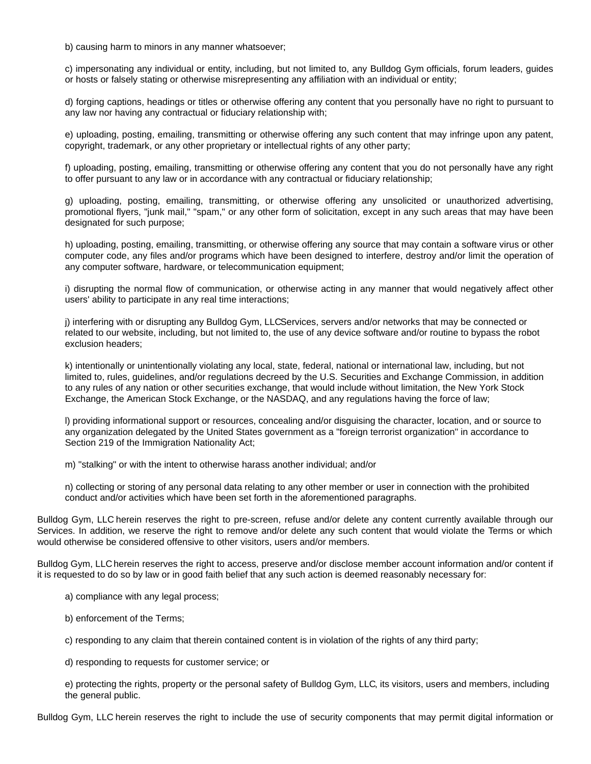b) causing harm to minors in any manner whatsoever;

c) impersonating any individual or entity, including, but not limited to, any Bulldog Gym officials, forum leaders, guides or hosts or falsely stating or otherwise misrepresenting any affiliation with an individual or entity;

d) forging captions, headings or titles or otherwise offering any content that you personally have no right to pursuant to any law nor having any contractual or fiduciary relationship with;

e) uploading, posting, emailing, transmitting or otherwise offering any such content that may infringe upon any patent, copyright, trademark, or any other proprietary or intellectual rights of any other party;

f) uploading, posting, emailing, transmitting or otherwise offering any content that you do not personally have any right to offer pursuant to any law or in accordance with any contractual or fiduciary relationship;

g) uploading, posting, emailing, transmitting, or otherwise offering any unsolicited or unauthorized advertising, promotional flyers, "junk mail," "spam," or any other form of solicitation, except in any such areas that may have been designated for such purpose;

h) uploading, posting, emailing, transmitting, or otherwise offering any source that may contain a software virus or other computer code, any files and/or programs which have been designed to interfere, destroy and/or limit the operation of any computer software, hardware, or telecommunication equipment;

i) disrupting the normal flow of communication, or otherwise acting in any manner that would negatively affect other users' ability to participate in any real time interactions;

j) interfering with or disrupting any Bulldog Gym, LLCServices, servers and/or networks that may be connected or related to our website, including, but not limited to, the use of any device software and/or routine to bypass the robot exclusion headers;

k) intentionally or unintentionally violating any local, state, federal, national or international law, including, but not limited to, rules, guidelines, and/or regulations decreed by the U.S. Securities and Exchange Commission, in addition to any rules of any nation or other securities exchange, that would include without limitation, the New York Stock Exchange, the American Stock Exchange, or the NASDAQ, and any regulations having the force of law;

l) providing informational support or resources, concealing and/or disguising the character, location, and or source to any organization delegated by the United States government as a "foreign terrorist organization" in accordance to Section 219 of the Immigration Nationality Act;

m) "stalking" or with the intent to otherwise harass another individual; and/or

n) collecting or storing of any personal data relating to any other member or user in connection with the prohibited conduct and/or activities which have been set forth in the aforementioned paragraphs.

Bulldog Gym, LLC herein reserves the right to pre-screen, refuse and/or delete any content currently available through our Services. In addition, we reserve the right to remove and/or delete any such content that would violate the Terms or which would otherwise be considered offensive to other visitors, users and/or members.

Bulldog Gym, LLC herein reserves the right to access, preserve and/or disclose member account information and/or content if it is requested to do so by law or in good faith belief that any such action is deemed reasonably necessary for:

a) compliance with any legal process;

b) enforcement of the Terms;

c) responding to any claim that therein contained content is in violation of the rights of any third party;

d) responding to requests for customer service; or

e) protecting the rights, property or the personal safety of Bulldog Gym, LLC, its visitors, users and members, including the general public.

Bulldog Gym, LLC herein reserves the right to include the use of security components that may permit digital information or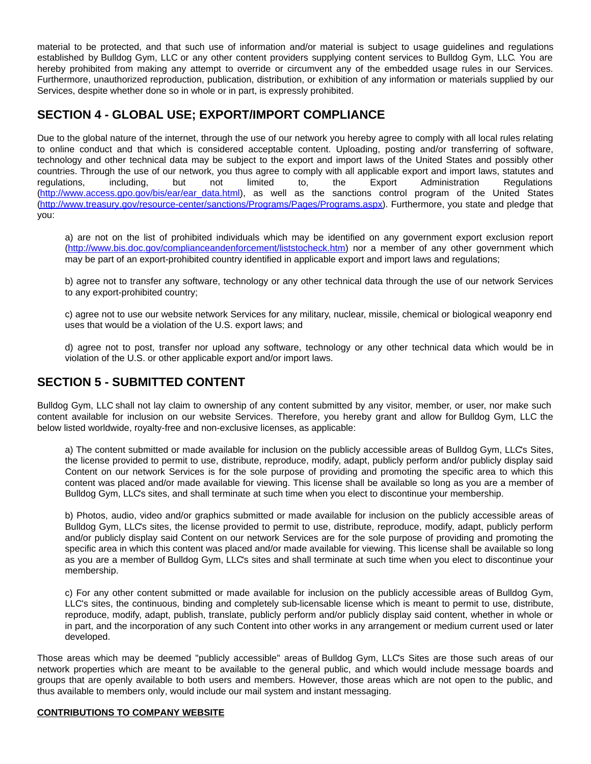material to be protected, and that such use of information and/or material is subject to usage guidelines and regulations established by Bulldog Gym, LLC or any other content providers supplying content services to Bulldog Gym, LLC. You are hereby prohibited from making any attempt to override or circumvent any of the embedded usage rules in our Services. Furthermore, unauthorized reproduction, publication, distribution, or exhibition of any information or materials supplied by our Services, despite whether done so in whole or in part, is expressly prohibited.

# **SECTION 4 - GLOBAL USE; EXPORT/IMPORT COMPLIANCE**

Due to the global nature of the internet, through the use of our network you hereby agree to comply with all local rules relating to online conduct and that which is considered acceptable content. Uploading, posting and/or transferring of software, technology and other technical data may be subject to the export and import laws of the United States and possibly other countries. Through the use of our network, you thus agree to comply with all applicable export and import laws, statutes and regulations, including, but not limited to, the Export Administration Regulations [\(http://www.access.gpo.gov/bis/ear/ear\\_data.html](http://www.access.gpo.gov/bis/ear/ear_data.html)), as well as the sanctions control program of the United States [\(http://www.treasury.gov/resource-center/sanctions/Programs/Pages/Programs.aspx](http://www.treasury.gov/resource-center/sanctions/Programs/Pages/Programs.aspx)). Furthermore, you state and pledge that you:

a) are not on the list of prohibited individuals which may be identified on any government export exclusion report [\(http://www.bis.doc.gov/complianceandenforcement/liststocheck.htm](http://www.bis.doc.gov/complianceandenforcement/liststocheck.htm)) nor a member of any other government which may be part of an export-prohibited country identified in applicable export and import laws and regulations;

b) agree not to transfer any software, technology or any other technical data through the use of our network Services to any export-prohibited country;

c) agree not to use our website network Services for any military, nuclear, missile, chemical or biological weaponry end uses that would be a violation of the U.S. export laws; and

d) agree not to post, transfer nor upload any software, technology or any other technical data which would be in violation of the U.S. or other applicable export and/or import laws.

## **SECTION 5 - SUBMITTED CONTENT**

Bulldog Gym, LLC shall not lay claim to ownership of any content submitted by any visitor, member, or user, nor make such content available for inclusion on our website Services. Therefore, you hereby grant and allow for Bulldog Gym, LLC the below listed worldwide, royalty-free and non-exclusive licenses, as applicable:

a) The content submitted or made available for inclusion on the publicly accessible areas of Bulldog Gym, LLC's Sites, the license provided to permit to use, distribute, reproduce, modify, adapt, publicly perform and/or publicly display said Content on our network Services is for the sole purpose of providing and promoting the specific area to which this content was placed and/or made available for viewing. This license shall be available so long as you are a member of Bulldog Gym, LLC's sites, and shall terminate at such time when you elect to discontinue your membership.

b) Photos, audio, video and/or graphics submitted or made available for inclusion on the publicly accessible areas of Bulldog Gym, LLC's sites, the license provided to permit to use, distribute, reproduce, modify, adapt, publicly perform and/or publicly display said Content on our network Services are for the sole purpose of providing and promoting the specific area in which this content was placed and/or made available for viewing. This license shall be available so long as you are a member of Bulldog Gym, LLC's sites and shall terminate at such time when you elect to discontinue your membership.

c) For any other content submitted or made available for inclusion on the publicly accessible areas of Bulldog Gym, LLC's sites, the continuous, binding and completely sub-licensable license which is meant to permit to use, distribute, reproduce, modify, adapt, publish, translate, publicly perform and/or publicly display said content, whether in whole or in part, and the incorporation of any such Content into other works in any arrangement or medium current used or later developed.

Those areas which may be deemed "publicly accessible" areas of Bulldog Gym, LLC's Sites are those such areas of our network properties which are meant to be available to the general public, and which would include message boards and groups that are openly available to both users and members. However, those areas which are not open to the public, and thus available to members only, would include our mail system and instant messaging.

#### **CONTRIBUTIONS TO COMPANY WEBSITE**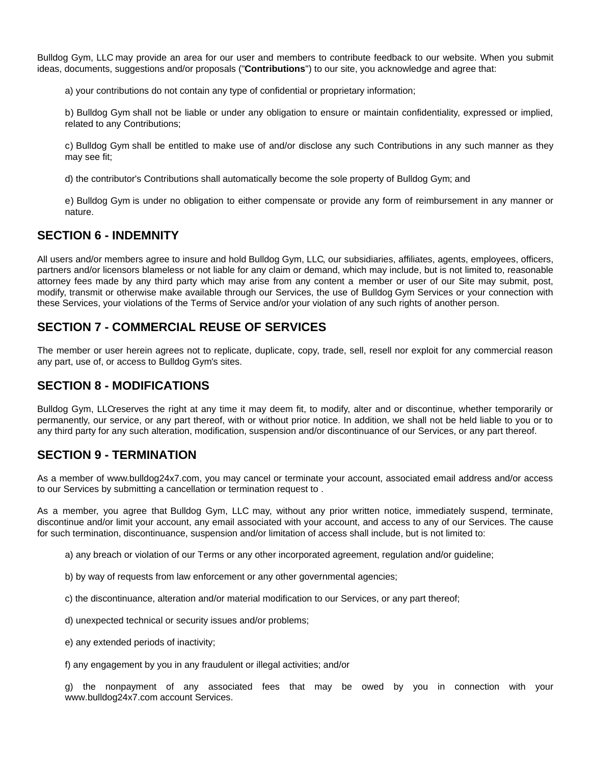Bulldog Gym, LLC may provide an area for our user and members to contribute feedback to our website. When you submit ideas, documents, suggestions and/or proposals ("**Contributions**") to our site, you acknowledge and agree that:

a) your contributions do not contain any type of confidential or proprietary information;

b) Bulldog Gym shall not be liable or under any obligation to ensure or maintain confidentiality, expressed or implied, related to any Contributions;

c) Bulldog Gym shall be entitled to make use of and/or disclose any such Contributions in any such manner as they may see fit;

d) the contributor's Contributions shall automatically become the sole property of Bulldog Gym; and

e) Bulldog Gym is under no obligation to either compensate or provide any form of reimbursement in any manner or nature.

#### **SECTION 6 - INDEMNITY**

All users and/or members agree to insure and hold Bulldog Gym, LLC, our subsidiaries, affiliates, agents, employees, officers, partners and/or licensors blameless or not liable for any claim or demand, which may include, but is not limited to, reasonable attorney fees made by any third party which may arise from any content a member or user of our Site may submit, post, modify, transmit or otherwise make available through our Services, the use of Bulldog Gym Services or your connection with these Services, your violations of the Terms of Service and/or your violation of any such rights of another person.

## **SECTION 7 - COMMERCIAL REUSE OF SERVICES**

The member or user herein agrees not to replicate, duplicate, copy, trade, sell, resell nor exploit for any commercial reason any part, use of, or access to Bulldog Gym's sites.

#### **SECTION 8 - MODIFICATIONS**

Bulldog Gym, LLCreserves the right at any time it may deem fit, to modify, alter and or discontinue, whether temporarily or permanently, our service, or any part thereof, with or without prior notice. In addition, we shall not be held liable to you or to any third party for any such alteration, modification, suspension and/or discontinuance of our Services, or any part thereof.

## **SECTION 9 - TERMINATION**

As a member of www.bulldog24x7.com, you may cancel or terminate your account, associated email address and/or access to our Services by submitting a cancellation or termination request to .

As a member, you agree that Bulldog Gym, LLC may, without any prior written notice, immediately suspend, terminate, discontinue and/or limit your account, any email associated with your account, and access to any of our Services. The cause for such termination, discontinuance, suspension and/or limitation of access shall include, but is not limited to:

- a) any breach or violation of our Terms or any other incorporated agreement, regulation and/or guideline;
- b) by way of requests from law enforcement or any other governmental agencies;
- c) the discontinuance, alteration and/or material modification to our Services, or any part thereof;
- d) unexpected technical or security issues and/or problems;
- e) any extended periods of inactivity;
- f) any engagement by you in any fraudulent or illegal activities; and/or

g) the nonpayment of any associated fees that may be owed by you in connection with your www.bulldog24x7.com account Services.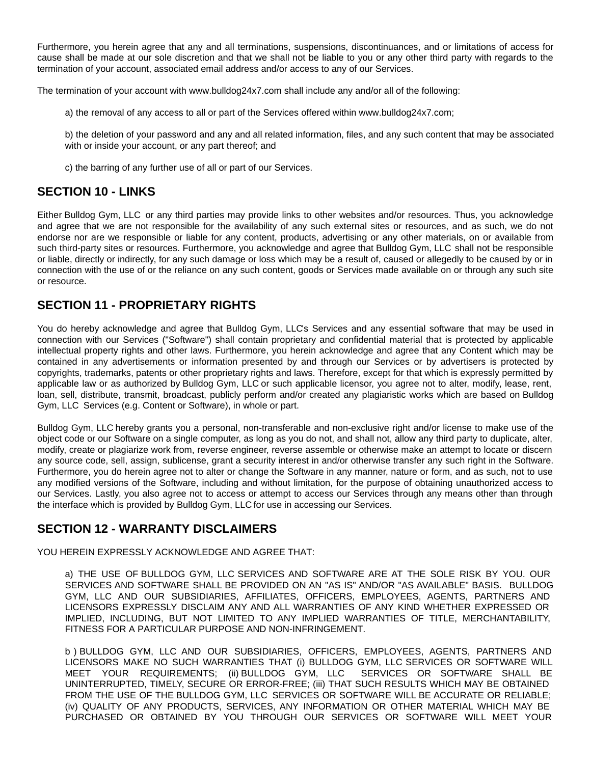Furthermore, you herein agree that any and all terminations, suspensions, discontinuances, and or limitations of access for cause shall be made at our sole discretion and that we shall not be liable to you or any other third party with regards to the termination of your account, associated email address and/or access to any of our Services.

The termination of your account with www.bulldog24x7.com shall include any and/or all of the following:

a) the removal of any access to all or part of the Services offered within www.bulldog24x7.com;

b) the deletion of your password and any and all related information, files, and any such content that may be associated with or inside your account, or any part thereof; and

c) the barring of any further use of all or part of our Services.

## **SECTION 10 - LINKS**

Either Bulldog Gym, LLC or any third parties may provide links to other websites and/or resources. Thus, you acknowledge and agree that we are not responsible for the availability of any such external sites or resources, and as such, we do not endorse nor are we responsible or liable for any content, products, advertising or any other materials, on or available from such third-party sites or resources. Furthermore, you acknowledge and agree that Bulldog Gym, LLC shall not be responsible or liable, directly or indirectly, for any such damage or loss which may be a result of, caused or allegedly to be caused by or in connection with the use of or the reliance on any such content, goods or Services made available on or through any such site or resource.

## **SECTION 11 - PROPRIETARY RIGHTS**

You do hereby acknowledge and agree that Bulldog Gym, LLC's Services and any essential software that may be used in connection with our Services ("Software") shall contain proprietary and confidential material that is protected by applicable intellectual property rights and other laws. Furthermore, you herein acknowledge and agree that any Content which may be contained in any advertisements or information presented by and through our Services or by advertisers is protected by copyrights, trademarks, patents or other proprietary rights and laws. Therefore, except for that which is expressly permitted by applicable law or as authorized by Bulldog Gym, LLC or such applicable licensor, you agree not to alter, modify, lease, rent, loan, sell, distribute, transmit, broadcast, publicly perform and/or created any plagiaristic works which are based on Bulldog Gym, LLC Services (e.g. Content or Software), in whole or part.

Bulldog Gym, LLC hereby grants you a personal, non-transferable and non-exclusive right and/or license to make use of the object code or our Software on a single computer, as long as you do not, and shall not, allow any third party to duplicate, alter, modify, create or plagiarize work from, reverse engineer, reverse assemble or otherwise make an attempt to locate or discern any source code, sell, assign, sublicense, grant a security interest in and/or otherwise transfer any such right in the Software. Furthermore, you do herein agree not to alter or change the Software in any manner, nature or form, and as such, not to use any modified versions of the Software, including and without limitation, for the purpose of obtaining unauthorized access to our Services. Lastly, you also agree not to access or attempt to access our Services through any means other than through the interface which is provided by Bulldog Gym, LLC for use in accessing our Services.

## **SECTION 12 - WARRANTY DISCLAIMERS**

YOU HEREIN EXPRESSLY ACKNOWLEDGE AND AGREE THAT:

a) THE USE OF BULLDOG GYM, LLC SERVICES AND SOFTWARE ARE AT THE SOLE RISK BY YOU. OUR SERVICES AND SOFTWARE SHALL BE PROVIDED ON AN "AS IS" AND/OR "AS AVAILABLE" BASIS. BULLDOG GYM, LLC AND OUR SUBSIDIARIES, AFFILIATES, OFFICERS, EMPLOYEES, AGENTS, PARTNERS AND LICENSORS EXPRESSLY DISCLAIM ANY AND ALL WARRANTIES OF ANY KIND WHETHER EXPRESSED OR IMPLIED, INCLUDING, BUT NOT LIMITED TO ANY IMPLIED WARRANTIES OF TITLE, MERCHANTABILITY, FITNESS FOR A PARTICULAR PURPOSE AND NON-INFRINGEMENT.

b ) BULLDOG GYM, LLC AND OUR SUBSIDIARIES, OFFICERS, EMPLOYEES, AGENTS, PARTNERS AND LICENSORS MAKE NO SUCH WARRANTIES THAT (i) BULLDOG GYM, LLC SERVICES OR SOFTWARE WILL MEET YOUR REQUIREMENTS; (ii) BULLDOG GYM, LLC SERVICES OR SOFTWARE SHALL BE UNINTERRUPTED, TIMELY, SECURE OR ERROR-FREE; (iii) THAT SUCH RESULTS WHICH MAY BE OBTAINED FROM THE USE OF THE BULLDOG GYM, LLC SERVICES OR SOFTWARE WILL BE ACCURATE OR RELIABLE; (iv) QUALITY OF ANY PRODUCTS, SERVICES, ANY INFORMATION OR OTHER MATERIAL WHICH MAY BE PURCHASED OR OBTAINED BY YOU THROUGH OUR SERVICES OR SOFTWARE WILL MEET YOUR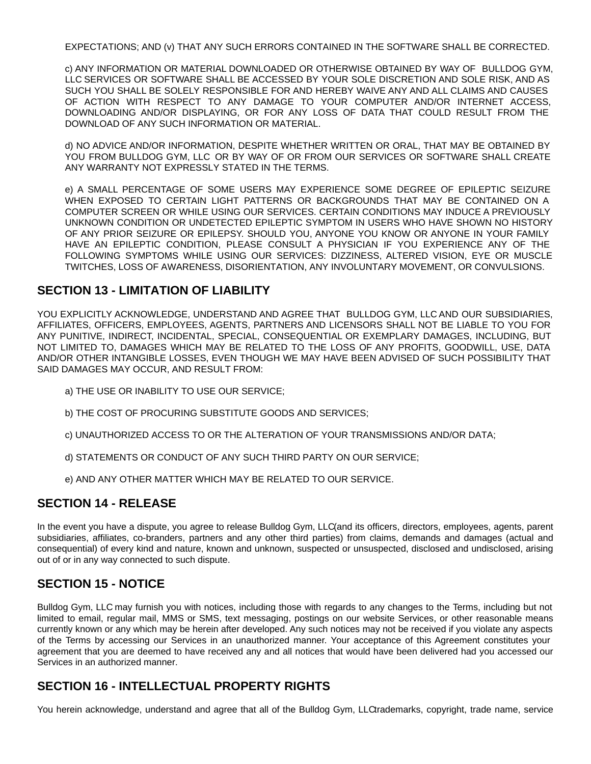EXPECTATIONS; AND (v) THAT ANY SUCH ERRORS CONTAINED IN THE SOFTWARE SHALL BE CORRECTED.

c) ANY INFORMATION OR MATERIAL DOWNLOADED OR OTHERWISE OBTAINED BY WAY OF BULLDOG GYM, LLC SERVICES OR SOFTWARE SHALL BE ACCESSED BY YOUR SOLE DISCRETION AND SOLE RISK, AND AS SUCH YOU SHALL BE SOLELY RESPONSIBLE FOR AND HEREBY WAIVE ANY AND ALL CLAIMS AND CAUSES OF ACTION WITH RESPECT TO ANY DAMAGE TO YOUR COMPUTER AND/OR INTERNET ACCESS, DOWNLOADING AND/OR DISPLAYING, OR FOR ANY LOSS OF DATA THAT COULD RESULT FROM THE DOWNLOAD OF ANY SUCH INFORMATION OR MATERIAL.

d) NO ADVICE AND/OR INFORMATION, DESPITE WHETHER WRITTEN OR ORAL, THAT MAY BE OBTAINED BY YOU FROM BULLDOG GYM, LLC OR BY WAY OF OR FROM OUR SERVICES OR SOFTWARE SHALL CREATE ANY WARRANTY NOT EXPRESSLY STATED IN THE TERMS.

e) A SMALL PERCENTAGE OF SOME USERS MAY EXPERIENCE SOME DEGREE OF EPILEPTIC SEIZURE WHEN EXPOSED TO CERTAIN LIGHT PATTERNS OR BACKGROUNDS THAT MAY BE CONTAINED ON A COMPUTER SCREEN OR WHILE USING OUR SERVICES. CERTAIN CONDITIONS MAY INDUCE A PREVIOUSLY UNKNOWN CONDITION OR UNDETECTED EPILEPTIC SYMPTOM IN USERS WHO HAVE SHOWN NO HISTORY OF ANY PRIOR SEIZURE OR EPILEPSY. SHOULD YOU, ANYONE YOU KNOW OR ANYONE IN YOUR FAMILY HAVE AN EPILEPTIC CONDITION, PLEASE CONSULT A PHYSICIAN IF YOU EXPERIENCE ANY OF THE FOLLOWING SYMPTOMS WHILE USING OUR SERVICES: DIZZINESS, ALTERED VISION, EYE OR MUSCLE TWITCHES, LOSS OF AWARENESS, DISORIENTATION, ANY INVOLUNTARY MOVEMENT, OR CONVULSIONS.

# **SECTION 13 - LIMITATION OF LIABILITY**

YOU EXPLICITLY ACKNOWLEDGE, UNDERSTAND AND AGREE THAT BULLDOG GYM, LLC AND OUR SUBSIDIARIES, AFFILIATES, OFFICERS, EMPLOYEES, AGENTS, PARTNERS AND LICENSORS SHALL NOT BE LIABLE TO YOU FOR ANY PUNITIVE, INDIRECT, INCIDENTAL, SPECIAL, CONSEQUENTIAL OR EXEMPLARY DAMAGES, INCLUDING, BUT NOT LIMITED TO, DAMAGES WHICH MAY BE RELATED TO THE LOSS OF ANY PROFITS, GOODWILL, USE, DATA AND/OR OTHER INTANGIBLE LOSSES, EVEN THOUGH WE MAY HAVE BEEN ADVISED OF SUCH POSSIBILITY THAT SAID DAMAGES MAY OCCUR, AND RESULT FROM:

- a) THE USE OR INABILITY TO USE OUR SERVICE;
- b) THE COST OF PROCURING SUBSTITUTE GOODS AND SERVICES;
- c) UNAUTHORIZED ACCESS TO OR THE ALTERATION OF YOUR TRANSMISSIONS AND/OR DATA;
- d) STATEMENTS OR CONDUCT OF ANY SUCH THIRD PARTY ON OUR SERVICE;
- e) AND ANY OTHER MATTER WHICH MAY BE RELATED TO OUR SERVICE.

## **SECTION 14 - RELEASE**

In the event you have a dispute, you agree to release Bulldog Gym, LLC(and its officers, directors, employees, agents, parent subsidiaries, affiliates, co-branders, partners and any other third parties) from claims, demands and damages (actual and consequential) of every kind and nature, known and unknown, suspected or unsuspected, disclosed and undisclosed, arising out of or in any way connected to such dispute.

## **SECTION 15 - NOTICE**

Bulldog Gym, LLC may furnish you with notices, including those with regards to any changes to the Terms, including but not limited to email, regular mail, MMS or SMS, text messaging, postings on our website Services, or other reasonable means currently known or any which may be herein after developed. Any such notices may not be received if you violate any aspects of the Terms by accessing our Services in an unauthorized manner. Your acceptance of this Agreement constitutes your agreement that you are deemed to have received any and all notices that would have been delivered had you accessed our Services in an authorized manner.

# **SECTION 16 - INTELLECTUAL PROPERTY RIGHTS**

You herein acknowledge, understand and agree that all of the Bulldog Gym, LLCtrademarks, copyright, trade name, service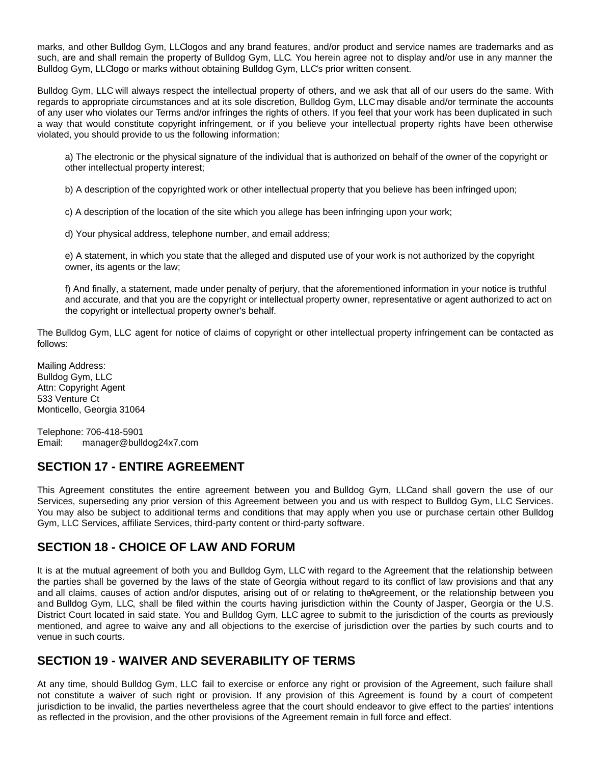marks, and other Bulldog Gym, LLClogos and any brand features, and/or product and service names are trademarks and as such, are and shall remain the property of Bulldog Gym, LLC. You herein agree not to display and/or use in any manner the Bulldog Gym, LLClogo or marks without obtaining Bulldog Gym, LLC's prior written consent.

Bulldog Gym, LLC will always respect the intellectual property of others, and we ask that all of our users do the same. With regards to appropriate circumstances and at its sole discretion, Bulldog Gym, LLC may disable and/or terminate the accounts of any user who violates our Terms and/or infringes the rights of others. If you feel that your work has been duplicated in such a way that would constitute copyright infringement, or if you believe your intellectual property rights have been otherwise violated, you should provide to us the following information:

a) The electronic or the physical signature of the individual that is authorized on behalf of the owner of the copyright or other intellectual property interest;

b) A description of the copyrighted work or other intellectual property that you believe has been infringed upon;

c) A description of the location of the site which you allege has been infringing upon your work;

d) Your physical address, telephone number, and email address;

e) A statement, in which you state that the alleged and disputed use of your work is not authorized by the copyright owner, its agents or the law;

f) And finally, a statement, made under penalty of perjury, that the aforementioned information in your notice is truthful and accurate, and that you are the copyright or intellectual property owner, representative or agent authorized to act on the copyright or intellectual property owner's behalf.

The Bulldog Gym, LLC agent for notice of claims of copyright or other intellectual property infringement can be contacted as follows:

Mailing Address: Bulldog Gym, LLC Attn: Copyright Agent 533 Venture Ct Monticello, Georgia 31064

Telephone: 706-418-5901 Email: manager@bulldog24x7.com

## **SECTION 17 - ENTIRE AGREEMENT**

This Agreement constitutes the entire agreement between you and Bulldog Gym, LLCand shall govern the use of our Services, superseding any prior version of this Agreement between you and us with respect to Bulldog Gym, LLC Services. You may also be subject to additional terms and conditions that may apply when you use or purchase certain other Bulldog Gym, LLC Services, affiliate Services, third-party content or third-party software.

## **SECTION 18 - CHOICE OF LAW AND FORUM**

It is at the mutual agreement of both you and Bulldog Gym, LLC with regard to the Agreement that the relationship between the parties shall be governed by the laws of the state of Georgia without regard to its conflict of law provisions and that any and all claims, causes of action and/or disputes, arising out of or relating to theAgreement, or the relationship between you and Bulldog Gym, LLC, shall be filed within the courts having jurisdiction within the County of Jasper, Georgia or the U.S. District Court located in said state. You and Bulldog Gym, LLC agree to submit to the jurisdiction of the courts as previously mentioned, and agree to waive any and all objections to the exercise of jurisdiction over the parties by such courts and to venue in such courts.

## **SECTION 19 - WAIVER AND SEVERABILITY OF TERMS**

At any time, should Bulldog Gym, LLC fail to exercise or enforce any right or provision of the Agreement, such failure shall not constitute a waiver of such right or provision. If any provision of this Agreement is found by a court of competent jurisdiction to be invalid, the parties nevertheless agree that the court should endeavor to give effect to the parties' intentions as reflected in the provision, and the other provisions of the Agreement remain in full force and effect.